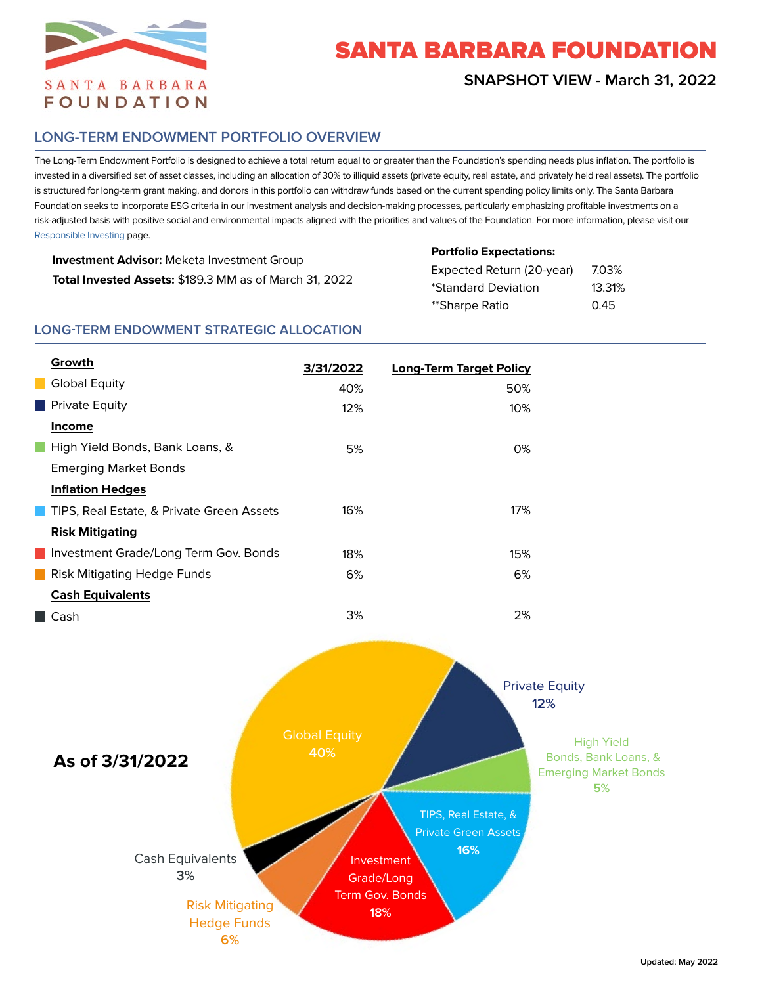

# SANTA BARBARA FOUNDATION

## **SNAPSHOT VIEW - March 31, 2022**

## **LONG-TERM ENDOWMENT PORTFOLIO OVERVIEW**

The Long-Term Endowment Portfolio is designed to achieve a total return equal to or greater than the Foundation's spending needs plus inflation. The portfolio is invested in a diversified set of asset classes, including an allocation of 30% to illiquid assets (private equity, real estate, and privately held real assets). The portfolio is structured for long-term grant making, and donors in this portfolio can withdraw funds based on the current spending policy limits only. The Santa Barbara Foundation seeks to incorporate ESG criteria in our investment analysis and decision-making processes, particularly emphasizing profitable investments on a risk-adjusted basis with positive social and environmental impacts aligned with the priorities and values of the Foundation. For more information, please visit our [Responsible Investing](https://www.sbfoundation.org/wp-content/uploads/2022/02/Santa-Barbara-Foundation-Responsible-Investing-Policy.pdf) page.

| <b>Investment Advisor:</b> Meketa Investment Group     |
|--------------------------------------------------------|
| Total Invested Assets: \$189.3 MM as of March 31, 2022 |

**Portfolio Expectations:**

| Expected Return (20-year) | 7.03%  |
|---------------------------|--------|
| *Standard Deviation       | 13.31% |
| **Sharpe Ratio            | 0.45   |

#### **LONG-TERM ENDOWMENT STRATEGIC ALLOCATION**

| Growth                                    | 3/31/2022 | <b>Long-Term Target Policy</b> |
|-------------------------------------------|-----------|--------------------------------|
| Global Equity                             | 40%       | 50%                            |
| $\blacksquare$ Private Equity             | 12%       | 10%                            |
| <b>Income</b>                             |           |                                |
| High Yield Bonds, Bank Loans, &           | 5%        | 0%                             |
| <b>Emerging Market Bonds</b>              |           |                                |
| <b>Inflation Hedges</b>                   |           |                                |
| TIPS, Real Estate, & Private Green Assets | 16%       | 17%                            |
| <b>Risk Mitigating</b>                    |           |                                |
| Investment Grade/Long Term Gov. Bonds     | 18%       | 15%                            |
| Risk Mitigating Hedge Funds               | 6%        | 6%                             |
| <b>Cash Equivalents</b>                   |           |                                |
| $\blacksquare$ Cash                       | 3%        | 2%                             |